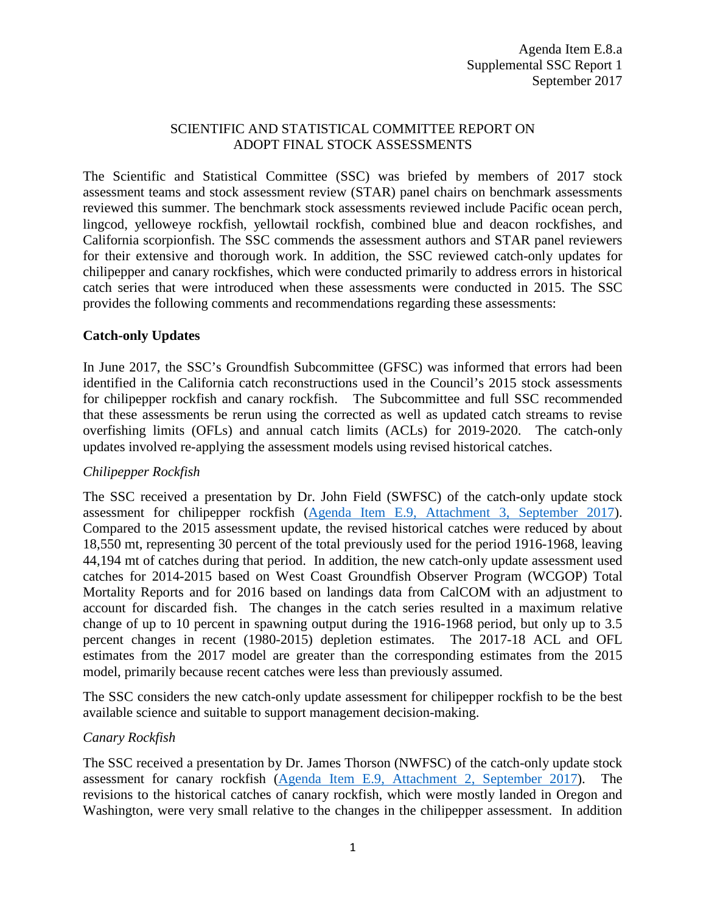## SCIENTIFIC AND STATISTICAL COMMITTEE REPORT ON ADOPT FINAL STOCK ASSESSMENTS

The Scientific and Statistical Committee (SSC) was briefed by members of 2017 stock assessment teams and stock assessment review (STAR) panel chairs on benchmark assessments reviewed this summer. The benchmark stock assessments reviewed include Pacific ocean perch, lingcod, yelloweye rockfish, yellowtail rockfish, combined blue and deacon rockfishes, and California scorpionfish. The SSC commends the assessment authors and STAR panel reviewers for their extensive and thorough work. In addition, the SSC reviewed catch-only updates for chilipepper and canary rockfishes, which were conducted primarily to address errors in historical catch series that were introduced when these assessments were conducted in 2015. The SSC provides the following comments and recommendations regarding these assessments:

## **Catch-only Updates**

In June 2017, the SSC's Groundfish Subcommittee (GFSC) was informed that errors had been identified in the California catch reconstructions used in the Council's 2015 stock assessments for chilipepper rockfish and canary rockfish. The Subcommittee and full SSC recommended that these assessments be rerun using the corrected as well as updated catch streams to revise overfishing limits (OFLs) and annual catch limits (ACLs) for 2019-2020. The catch-only updates involved re-applying the assessment models using revised historical catches.

## *Chilipepper Rockfish*

The SSC received a presentation by Dr. John Field (SWFSC) of the catch-only update stock assessment for chilipepper rockfish [\(Agenda Item E.9, Attachment 3, September 2017\)](http://www.pcouncil.org/wp-content/uploads/2017/08/E9_Att3_CO_Update_Chili_SEPT2017BB.pdf). Compared to the 2015 assessment update, the revised historical catches were reduced by about 18,550 mt, representing 30 percent of the total previously used for the period 1916-1968, leaving 44,194 mt of catches during that period. In addition, the new catch-only update assessment used catches for 2014-2015 based on West Coast Groundfish Observer Program (WCGOP) Total Mortality Reports and for 2016 based on landings data from CalCOM with an adjustment to account for discarded fish. The changes in the catch series resulted in a maximum relative change of up to 10 percent in spawning output during the 1916-1968 period, but only up to 3.5 percent changes in recent (1980-2015) depletion estimates. The 2017-18 ACL and OFL estimates from the 2017 model are greater than the corresponding estimates from the 2015 model, primarily because recent catches were less than previously assumed.

The SSC considers the new catch-only update assessment for chilipepper rockfish to be the best available science and suitable to support management decision-making.

## *Canary Rockfish*

The SSC received a presentation by Dr. James Thorson (NWFSC) of the catch-only update stock assessment for canary rockfish [\(Agenda Item E.9, Attachment 2, September 2017\)](http://www.pcouncil.org/wp-content/uploads/2017/08/E9_Att2_Canary_2017_081617_SEPT2017BB.pdf). The revisions to the historical catches of canary rockfish, which were mostly landed in Oregon and Washington, were very small relative to the changes in the chilipepper assessment. In addition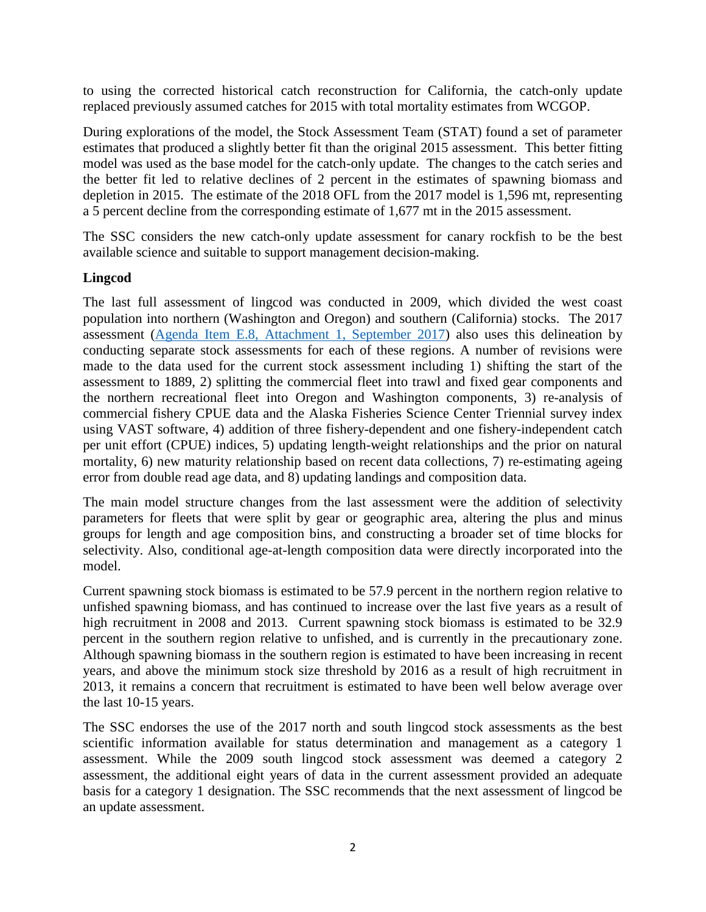to using the corrected historical catch reconstruction for California, the catch-only update replaced previously assumed catches for 2015 with total mortality estimates from WCGOP.

During explorations of the model, the Stock Assessment Team (STAT) found a set of parameter estimates that produced a slightly better fit than the original 2015 assessment. This better fitting model was used as the base model for the catch-only update. The changes to the catch series and the better fit led to relative declines of 2 percent in the estimates of spawning biomass and depletion in 2015. The estimate of the 2018 OFL from the 2017 model is 1,596 mt, representing a 5 percent decline from the corresponding estimate of 1,677 mt in the 2015 assessment.

The SSC considers the new catch-only update assessment for canary rockfish to be the best available science and suitable to support management decision-making.

## **Lingcod**

The last full assessment of lingcod was conducted in 2009, which divided the west coast population into northern (Washington and Oregon) and southern (California) stocks. The 2017 assessment [\(Agenda Item E.8, Attachment 1, September 2017\)](http://www.pcouncil.org/wp-content/uploads/2017/08/E8_Att1_Lingcod_FullDoc_E-Only_SEPT2017BB.pdf) also uses this delineation by conducting separate stock assessments for each of these regions. A number of revisions were made to the data used for the current stock assessment including 1) shifting the start of the assessment to 1889, 2) splitting the commercial fleet into trawl and fixed gear components and the northern recreational fleet into Oregon and Washington components, 3) re-analysis of commercial fishery CPUE data and the Alaska Fisheries Science Center Triennial survey index using VAST software, 4) addition of three fishery-dependent and one fishery-independent catch per unit effort (CPUE) indices, 5) updating length-weight relationships and the prior on natural mortality, 6) new maturity relationship based on recent data collections, 7) re-estimating ageing error from double read age data, and 8) updating landings and composition data.

The main model structure changes from the last assessment were the addition of selectivity parameters for fleets that were split by gear or geographic area, altering the plus and minus groups for length and age composition bins, and constructing a broader set of time blocks for selectivity. Also, conditional age-at-length composition data were directly incorporated into the model.

Current spawning stock biomass is estimated to be 57.9 percent in the northern region relative to unfished spawning biomass, and has continued to increase over the last five years as a result of high recruitment in 2008 and 2013. Current spawning stock biomass is estimated to be 32.9 percent in the southern region relative to unfished, and is currently in the precautionary zone. Although spawning biomass in the southern region is estimated to have been increasing in recent years, and above the minimum stock size threshold by 2016 as a result of high recruitment in 2013, it remains a concern that recruitment is estimated to have been well below average over the last 10-15 years.

The SSC endorses the use of the 2017 north and south lingcod stock assessments as the best scientific information available for status determination and management as a category 1 assessment. While the 2009 south lingcod stock assessment was deemed a category 2 assessment, the additional eight years of data in the current assessment provided an adequate basis for a category 1 designation. The SSC recommends that the next assessment of lingcod be an update assessment.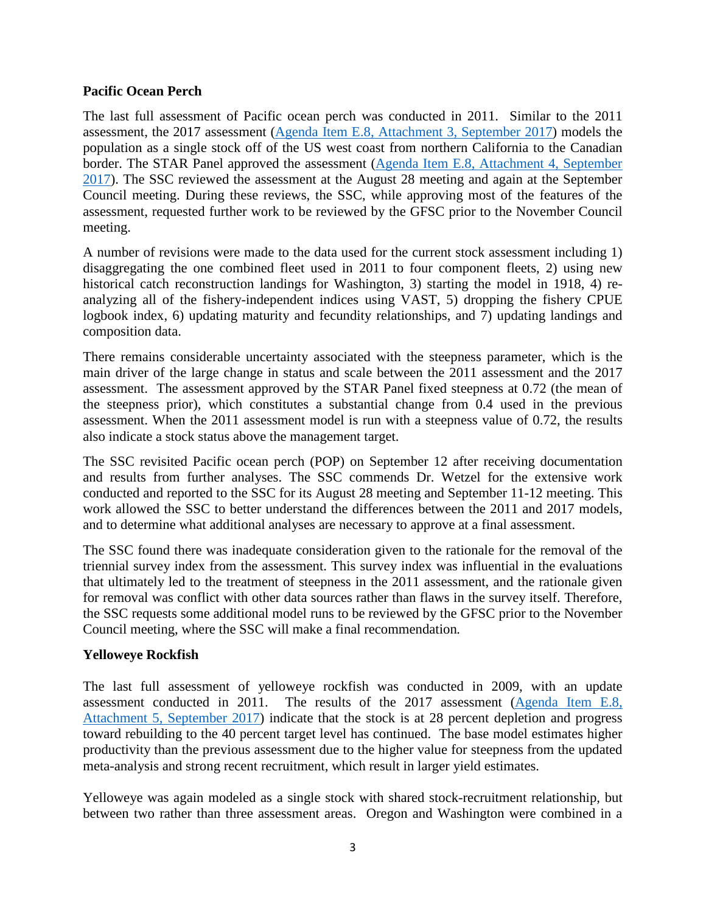#### **Pacific Ocean Perch**

The last full assessment of Pacific ocean perch was conducted in 2011. Similar to the 2011 assessment, the 2017 assessment [\(Agenda Item E.8, Attachment 3, September 2017\)](http://www.pcouncil.org/wp-content/uploads/2017/08/E8_Att3_POP_FullDoc_E-Only_SEPT2017BB.pdf) models the population as a single stock off of the US west coast from northern California to the Canadian border. The STAR Panel approved the assessment [\(Agenda Item E.8, Attachment 4, September](http://www.pcouncil.org/wp-content/uploads/2017/08/E8_Att4_POP_STAR_Panel_Report-FINAL_SEPT2017BB.pdf)  [2017\)](http://www.pcouncil.org/wp-content/uploads/2017/08/E8_Att4_POP_STAR_Panel_Report-FINAL_SEPT2017BB.pdf). The SSC reviewed the assessment at the August 28 meeting and again at the September Council meeting. During these reviews, the SSC, while approving most of the features of the assessment, requested further work to be reviewed by the GFSC prior to the November Council meeting.

A number of revisions were made to the data used for the current stock assessment including 1) disaggregating the one combined fleet used in 2011 to four component fleets, 2) using new historical catch reconstruction landings for Washington, 3) starting the model in 1918, 4) reanalyzing all of the fishery-independent indices using VAST, 5) dropping the fishery CPUE logbook index, 6) updating maturity and fecundity relationships, and 7) updating landings and composition data.

There remains considerable uncertainty associated with the steepness parameter, which is the main driver of the large change in status and scale between the 2011 assessment and the 2017 assessment. The assessment approved by the STAR Panel fixed steepness at 0.72 (the mean of the steepness prior), which constitutes a substantial change from 0.4 used in the previous assessment. When the 2011 assessment model is run with a steepness value of 0.72, the results also indicate a stock status above the management target.

The SSC revisited Pacific ocean perch (POP) on September 12 after receiving documentation and results from further analyses. The SSC commends Dr. Wetzel for the extensive work conducted and reported to the SSC for its August 28 meeting and September 11-12 meeting. This work allowed the SSC to better understand the differences between the 2011 and 2017 models, and to determine what additional analyses are necessary to approve at a final assessment.

The SSC found there was inadequate consideration given to the rationale for the removal of the triennial survey index from the assessment. This survey index was influential in the evaluations that ultimately led to the treatment of steepness in the 2011 assessment, and the rationale given for removal was conflict with other data sources rather than flaws in the survey itself. Therefore, the SSC requests some additional model runs to be reviewed by the GFSC prior to the November Council meeting, where the SSC will make a final recommendation*.*

#### **Yelloweye Rockfish**

The last full assessment of yelloweye rockfish was conducted in 2009, with an update assessment conducted in 2011. The results of the 2017 assessment [\(Agenda Item E.8,](http://www.pcouncil.org/wp-content/uploads/2017/08/E8_Att5_Yelloweye_FullDoc_E-Only_SEPT2017BB.pdf)  [Attachment 5, September 2017\)](http://www.pcouncil.org/wp-content/uploads/2017/08/E8_Att5_Yelloweye_FullDoc_E-Only_SEPT2017BB.pdf) indicate that the stock is at 28 percent depletion and progress toward rebuilding to the 40 percent target level has continued. The base model estimates higher productivity than the previous assessment due to the higher value for steepness from the updated meta-analysis and strong recent recruitment, which result in larger yield estimates.

Yelloweye was again modeled as a single stock with shared stock-recruitment relationship, but between two rather than three assessment areas. Oregon and Washington were combined in a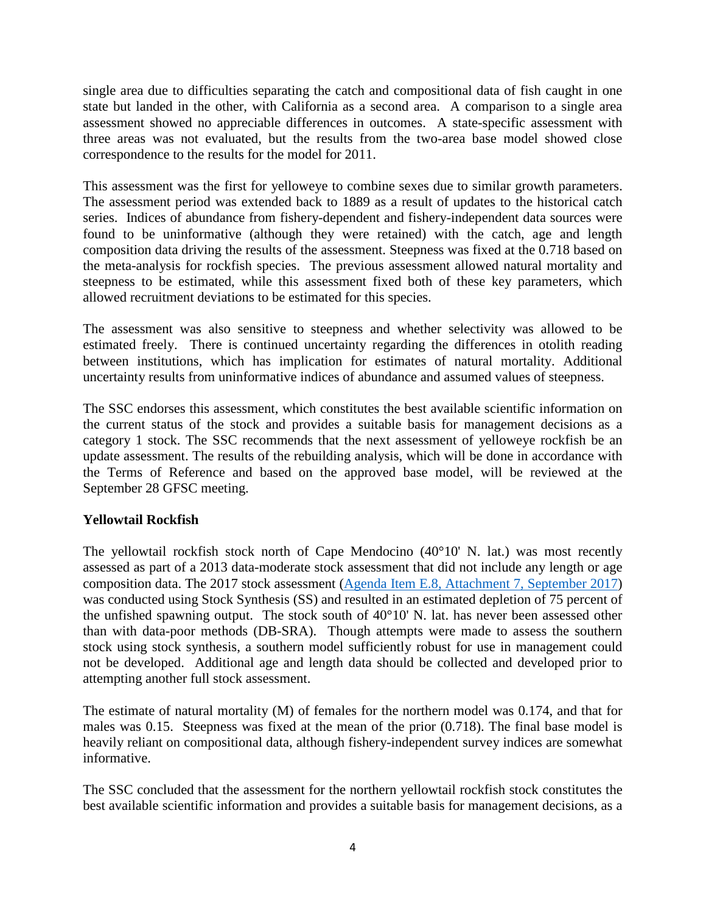single area due to difficulties separating the catch and compositional data of fish caught in one state but landed in the other, with California as a second area. A comparison to a single area assessment showed no appreciable differences in outcomes. A state-specific assessment with three areas was not evaluated, but the results from the two-area base model showed close correspondence to the results for the model for 2011.

This assessment was the first for yelloweye to combine sexes due to similar growth parameters. The assessment period was extended back to 1889 as a result of updates to the historical catch series. Indices of abundance from fishery-dependent and fishery-independent data sources were found to be uninformative (although they were retained) with the catch, age and length composition data driving the results of the assessment. Steepness was fixed at the 0.718 based on the meta-analysis for rockfish species. The previous assessment allowed natural mortality and steepness to be estimated, while this assessment fixed both of these key parameters, which allowed recruitment deviations to be estimated for this species.

The assessment was also sensitive to steepness and whether selectivity was allowed to be estimated freely. There is continued uncertainty regarding the differences in otolith reading between institutions, which has implication for estimates of natural mortality. Additional uncertainty results from uninformative indices of abundance and assumed values of steepness.

The SSC endorses this assessment, which constitutes the best available scientific information on the current status of the stock and provides a suitable basis for management decisions as a category 1 stock. The SSC recommends that the next assessment of yelloweye rockfish be an update assessment. The results of the rebuilding analysis, which will be done in accordance with the Terms of Reference and based on the approved base model, will be reviewed at the September 28 GFSC meeting.

## **Yellowtail Rockfish**

The yellowtail rockfish stock north of Cape Mendocino (40°10' N. lat.) was most recently assessed as part of a 2013 data-moderate stock assessment that did not include any length or age composition data. The 2017 stock assessment [\(Agenda Item E.8, Attachment 7, September 2017\)](http://www.pcouncil.org/wp-content/uploads/2017/08/E8_Att7_Yellowtail_FullDoc_E-Only_SEPT2017BB.pdf) was conducted using Stock Synthesis (SS) and resulted in an estimated depletion of 75 percent of the unfished spawning output. The stock south of 40°10' N. lat. has never been assessed other than with data-poor methods (DB-SRA). Though attempts were made to assess the southern stock using stock synthesis, a southern model sufficiently robust for use in management could not be developed. Additional age and length data should be collected and developed prior to attempting another full stock assessment.

The estimate of natural mortality (M) of females for the northern model was 0.174, and that for males was 0.15. Steepness was fixed at the mean of the prior (0.718). The final base model is heavily reliant on compositional data, although fishery-independent survey indices are somewhat informative.

The SSC concluded that the assessment for the northern yellowtail rockfish stock constitutes the best available scientific information and provides a suitable basis for management decisions, as a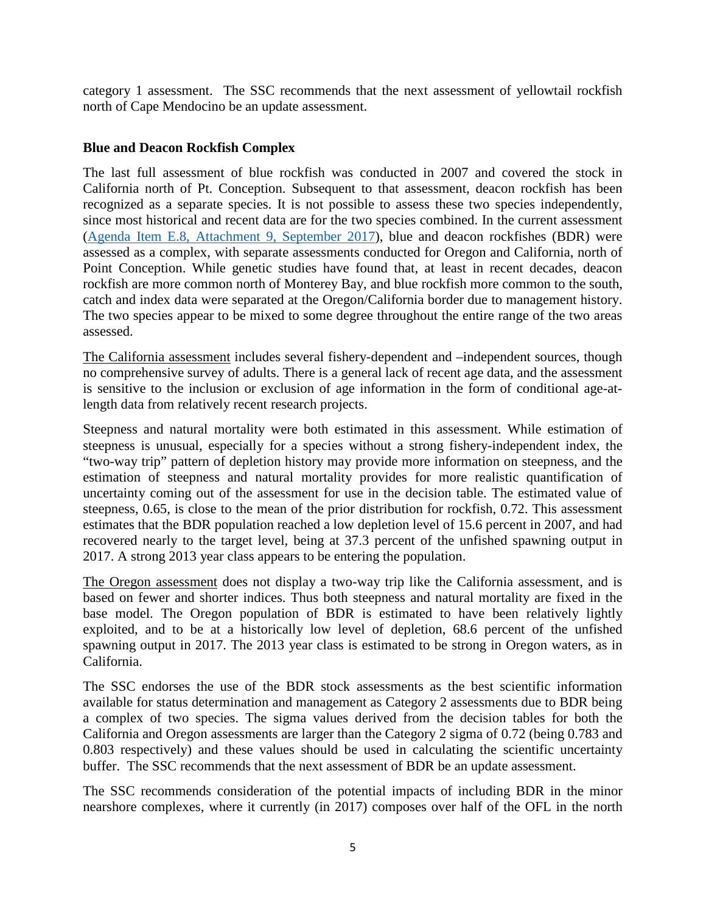category 1 assessment. The SSC recommends that the next assessment of yellowtail rockfish north of Cape Mendocino be an update assessment.

### **Blue and Deacon Rockfish Complex**

The last full assessment of blue rockfish was conducted in 2007 and covered the stock in California north of Pt. Conception. Subsequent to that assessment, deacon rockfish has been recognized as a separate species. It is not possible to assess these two species independently, since most historical and recent data are for the two species combined. In the current assessment [\(Agenda Item E.8, Attachment 9, September 2017\)](http://www.pcouncil.org/wp-content/uploads/2017/08/E8_Att9_BlueDeacon_FullDoc_E-Only_SEPT2017BB.pdf), blue and deacon rockfishes (BDR) were assessed as a complex, with separate assessments conducted for Oregon and California, north of Point Conception. While genetic studies have found that, at least in recent decades, deacon rockfish are more common north of Monterey Bay, and blue rockfish more common to the south, catch and index data were separated at the Oregon/California border due to management history. The two species appear to be mixed to some degree throughout the entire range of the two areas assessed.

The California assessment includes several fishery-dependent and –independent sources, though no comprehensive survey of adults. There is a general lack of recent age data, and the assessment is sensitive to the inclusion or exclusion of age information in the form of conditional age-atlength data from relatively recent research projects.

Steepness and natural mortality were both estimated in this assessment. While estimation of steepness is unusual, especially for a species without a strong fishery-independent index, the "two-way trip" pattern of depletion history may provide more information on steepness, and the estimation of steepness and natural mortality provides for more realistic quantification of uncertainty coming out of the assessment for use in the decision table. The estimated value of steepness, 0.65, is close to the mean of the prior distribution for rockfish, 0.72. This assessment estimates that the BDR population reached a low depletion level of 15.6 percent in 2007, and had recovered nearly to the target level, being at 37.3 percent of the unfished spawning output in 2017. A strong 2013 year class appears to be entering the population.

The Oregon assessment does not display a two-way trip like the California assessment, and is based on fewer and shorter indices. Thus both steepness and natural mortality are fixed in the base model. The Oregon population of BDR is estimated to have been relatively lightly exploited, and to be at a historically low level of depletion, 68.6 percent of the unfished spawning output in 2017. The 2013 year class is estimated to be strong in Oregon waters, as in California.

The SSC endorses the use of the BDR stock assessments as the best scientific information available for status determination and management as Category 2 assessments due to BDR being a complex of two species. The sigma values derived from the decision tables for both the California and Oregon assessments are larger than the Category 2 sigma of 0.72 (being 0.783 and 0.803 respectively) and these values should be used in calculating the scientific uncertainty buffer. The SSC recommends that the next assessment of BDR be an update assessment.

The SSC recommends consideration of the potential impacts of including BDR in the minor nearshore complexes, where it currently (in 2017) composes over half of the OFL in the north